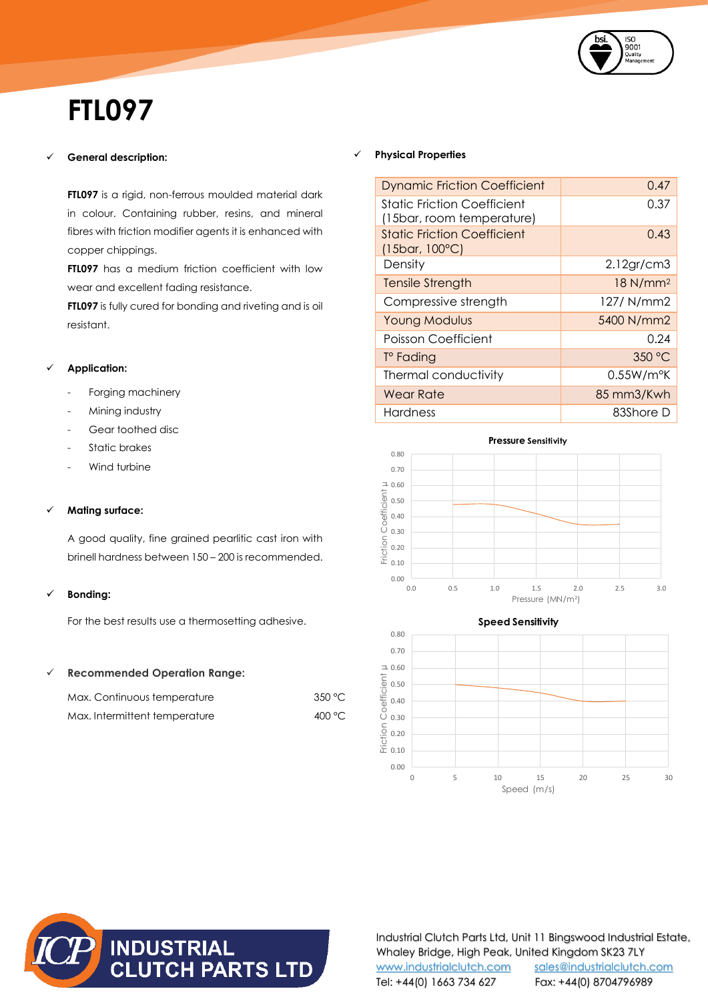

# **FTL097**

# **General description:**

**FTL097** is a rigid, non-ferrous moulded material dark in colour. Containing rubber, resins, and mineral fibres with friction modifier agents it is enhanced with copper chippings.

**FTL097** has a medium friction coefficient with low wear and excellent fading resistance.

**FTL097** is fully cured for bonding and riveting and is oil resistant.

## **Application:**

- Forging machinery
- Mining industry
- Gear toothed disc
- Static brakes
- Wind turbine

#### **Mating surface:**

A good quality, fine grained pearlitic cast iron with brinell hardness between 150 – 200 is recommended.

# **Bonding:**

For the best results use a thermosetting adhesive.

### **Recommended Operation Range:**

| Max. Continuous temperature   | 350 °C |
|-------------------------------|--------|
| Max. Intermittent temperature | 400 °C |

#### **Physical Properties**

| <b>Dynamic Friction Coefficient</b>                           | 0.47                   |
|---------------------------------------------------------------|------------------------|
| Static Friction Coefficient<br>(15bar, room temperature)      | 0.37                   |
| <b>Static Friction Coefficient</b><br>$(15bar, 100^{\circ}C)$ | 0.43                   |
| Density                                                       | 2.12gr/cm3             |
| <b>Tensile Strength</b>                                       | $18$ N/mm <sup>2</sup> |
| Compressive strength                                          | 127/ N/mm2             |
| <b>Young Modulus</b>                                          | 5400 N/mm2             |
| Poisson Coefficient                                           | 0.24                   |
| T° Fading                                                     | 350 °C                 |
| Thermal conductivity                                          | 0.55W/m <sup>o</sup> K |
| Wear Rate                                                     | 85 mm3/Kwh             |
| Hardness                                                      | 83Shore D              |







Industrial Clutch Parts Ltd, Unit 11 Bingswood Industrial Estate, Whaley Bridge, High Peak, United Kingdom SK23 7LY [www.industrialclutch.com](http://www.industrialclutch.com/) [sales@industrialclutch.com](mailto:sales@industrialclutch.com) Tel: +44(0) 1663 734 627 Fax: +44(0) 8704796989